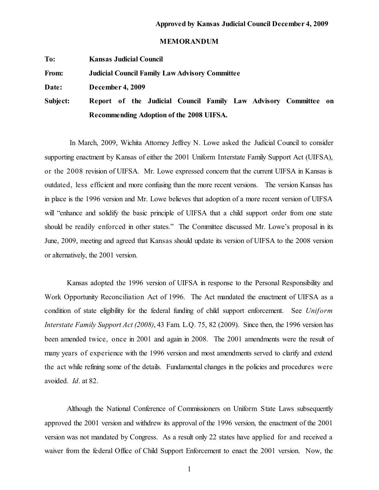## **MEMORANDUM**

**To: Kansas Judicial Council**

**From: Judicial Council Family Law Advisory Committee**

**Date: December 4, 2009**

**Subject: Report of the Judicial Council Family Law Advisory Committee on Recommending Adoption of the 2008 UIFSA.**

In March, 2009, Wichita Attorney Jeffrey N. Lowe asked the Judicial Council to consider supporting enactment by Kansas of either the 2001 Uniform Interstate Family Support Act (UIFSA), or the 2008 revision of UIFSA. Mr. Lowe expressed concern that the current UIFSA in Kansas is outdated, less efficient and more confusing than the more recent versions. The version Kansas has in place is the 1996 version and Mr. Lowe believes that adoption of a more recent version of UIFSA will "enhance and solidify the basic principle of UIFSA that a child support order from one state should be readily enforced in other states." The Committee discussed Mr. Lowe's proposal in its June, 2009, meeting and agreed that Kansas should update its version of UIFSA to the 2008 version or alternatively, the 2001 version.

Kansas adopted the 1996 version of UIFSA in response to the Personal Responsibility and Work Opportunity Reconciliation Act of 1996. The Act mandated the enactment of UIFSA as a condition of state eligibility for the federal funding of child support enforcement. See *Uniform Interstate Family Support Act (2008)*, 43 Fam. L.Q. 75, 82 (2009). Since then, the 1996 version has been amended twice, once in 2001 and again in 2008. The 2001 amendments were the result of many years of experience with the 1996 version and most amendments served to clarify and extend the act while refining some of the details. Fundamental changes in the policies and procedures were avoided. *Id*. at 82.

Although the National Conference of Commissioners on Uniform State Laws subsequently approved the 2001 version and withdrew its approval of the 1996 version, the enactment of the 2001 version was not mandated by Congress. As a result only 22 states have applied for and received a waiver from the federal Office of Child Support Enforcement to enact the 2001 version. Now, the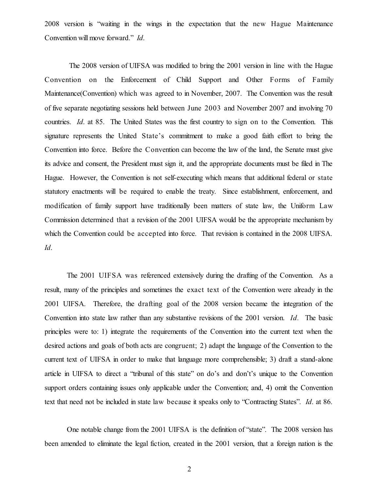2008 version is "waiting in the wings in the expectation that the new Hague Maintenance Convention will move forward." *Id*.

The 2008 version of UIFSA was modified to bring the 2001 version in line with the Hague Convention on the Enforcement of Child Support and Other Forms of Family Maintenance(Convention) which was agreed to in November, 2007. The Convention was the result of five separate negotiating sessions held between June 2003 and November 2007 and involving 70 countries. *Id*. at 85. The United States was the first country to sign on to the Convention. This signature represents the United State's commitment to make a good faith effort to bring the Convention into force. Before the Convention can become the law of the land, the Senate must give its advice and consent, the President must sign it, and the appropriate documents must be filed in The Hague. However, the Convention is not self-executing which means that additional federal or state statutory enactments will be required to enable the treaty. Since establishment, enforcement, and modification of family support have traditionally been matters of state law, the Uniform Law Commission determined that a revision of the 2001 UIFSA would be the appropriate mechanism by which the Convention could be accepted into force. That revision is contained in the 2008 UIFSA. *Id*.

The 2001 UIFSA was referenced extensively during the drafting of the Convention. As a result, many of the principles and sometimes the exact text of the Convention were already in the 2001 UIFSA. Therefore, the drafting goal of the 2008 version became the integration of the Convention into state law rather than any substantive revisions of the 2001 version. *Id.* The basic principles were to: 1) integrate the requirements of the Convention into the current text when the desired actions and goals of both acts are congruent; 2) adapt the language of the Convention to the current text of UIFSA in order to make that language more comprehensible; 3) draft a stand-alone article in UIFSA to direct a "tribunal of this state" on do's and don't's unique to the Convention support orders containing issues only applicable under the Convention; and, 4) omit the Convention text that need not be included in state law because it speaks only to "Contracting States". *Id*. at 86.

One notable change from the 2001 UIFSA is the definition of "state". The 2008 version has been amended to eliminate the legal fiction, created in the 2001 version, that a foreign nation is the